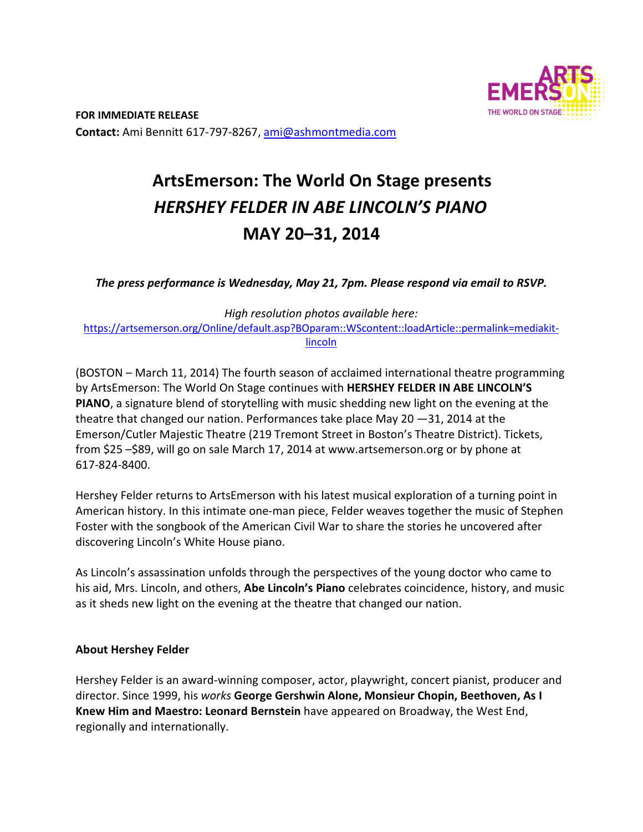

# **ArtsEmerson: The World On Stage presents** *HERSHEY FELDER IN ABE LINCOLN'S PIANO*  **MAY 20–31, 2014**

*The press performance is Wednesday, May 21, 7pm. Please respond via email to RSVP.* 

*High resolution photos available here:*  https://artsemerson.org/Online/default.asp?BOparam::WScontent::loadArticle::permalink=mediakit‐ lincoln

(BOSTON – March 11, 2014) The fourth season of acclaimed international theatre programming by ArtsEmerson: The World On Stage continues with **HERSHEY FELDER IN ABE LINCOLN'S PIANO**, a signature blend of storytelling with music shedding new light on the evening at the theatre that changed our nation. Performances take place May 20  $-31$ , 2014 at the Emerson/Cutler Majestic Theatre (219 Tremont Street in Boston's Theatre District). Tickets, from \$25 –\$89, will go on sale March 17, 2014 at www.artsemerson.org or by phone at 617‐824‐8400.

Hershey Felder returns to ArtsEmerson with his latest musical exploration of a turning point in American history. In this intimate one‐man piece, Felder weaves together the music of Stephen Foster with the songbook of the American Civil War to share the stories he uncovered after discovering Lincoln's White House piano.

As Lincoln's assassination unfolds through the perspectives of the young doctor who came to his aid, Mrs. Lincoln, and others, **Abe Lincoln's Piano** celebrates coincidence, history, and music as it sheds new light on the evening at the theatre that changed our nation.

## **About Hershey Felder**

Hershey Felder is an award‐winning composer, actor, playwright, concert pianist, producer and director. Since 1999, his *works* **George Gershwin Alone, Monsieur Chopin, Beethoven, As I Knew Him and Maestro: Leonard Bernstein** have appeared on Broadway, the West End, regionally and internationally.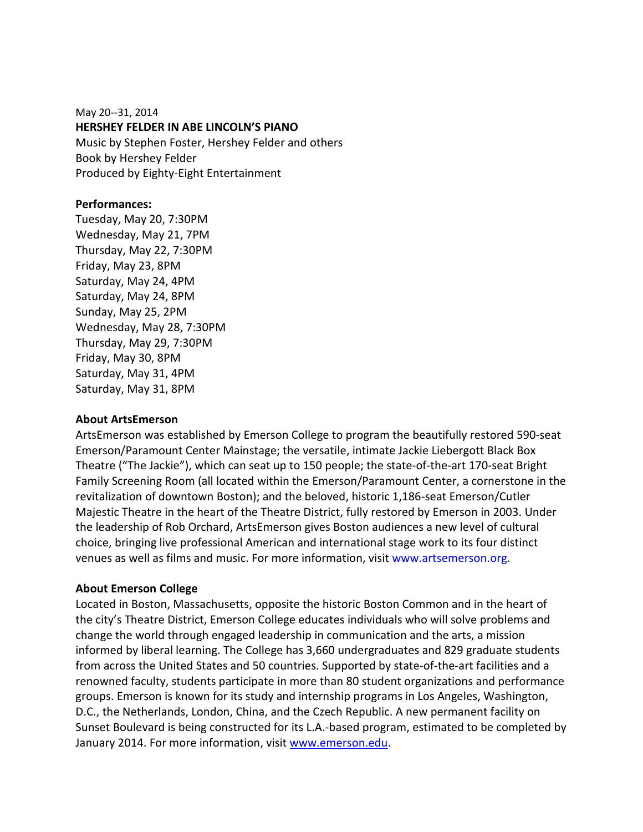May 20‐‐31, 2014 **HERSHEY FELDER IN ABE LINCOLN'S PIANO**  Music by Stephen Foster, Hershey Felder and others Book by Hershey Felder Produced by Eighty‐Eight Entertainment

### **Performances:**

Tuesday, May 20, 7:30PM Wednesday, May 21, 7PM Thursday, May 22, 7:30PM Friday, May 23, 8PM Saturday, May 24, 4PM Saturday, May 24, 8PM Sunday, May 25, 2PM Wednesday, May 28, 7:30PM Thursday, May 29, 7:30PM Friday, May 30, 8PM Saturday, May 31, 4PM Saturday, May 31, 8PM

#### **About ArtsEmerson**

ArtsEmerson was established by Emerson College to program the beautifully restored 590‐seat Emerson/Paramount Center Mainstage; the versatile, intimate Jackie Liebergott Black Box Theatre ("The Jackie"), which can seat up to 150 people; the state‐of‐the‐art 170‐seat Bright Family Screening Room (all located within the Emerson/Paramount Center, a cornerstone in the revitalization of downtown Boston); and the beloved, historic 1,186‐seat Emerson/Cutler Majestic Theatre in the heart of the Theatre District, fully restored by Emerson in 2003. Under the leadership of Rob Orchard, ArtsEmerson gives Boston audiences a new level of cultural choice, bringing live professional American and international stage work to its four distinct venues as well as films and music. For more information, visit www.artsemerson.org.

## **About Emerson College**

Located in Boston, Massachusetts, opposite the historic Boston Common and in the heart of the city's Theatre District, Emerson College educates individuals who will solve problems and change the world through engaged leadership in communication and the arts, a mission informed by liberal learning. The College has 3,660 undergraduates and 829 graduate students from across the United States and 50 countries. Supported by state-of-the-art facilities and a renowned faculty, students participate in more than 80 student organizations and performance groups. Emerson is known for its study and internship programs in Los Angeles, Washington, D.C., the Netherlands, London, China, and the Czech Republic. A new permanent facility on Sunset Boulevard is being constructed for its L.A.‐based program, estimated to be completed by January 2014. For more information, visit www.emerson.edu.